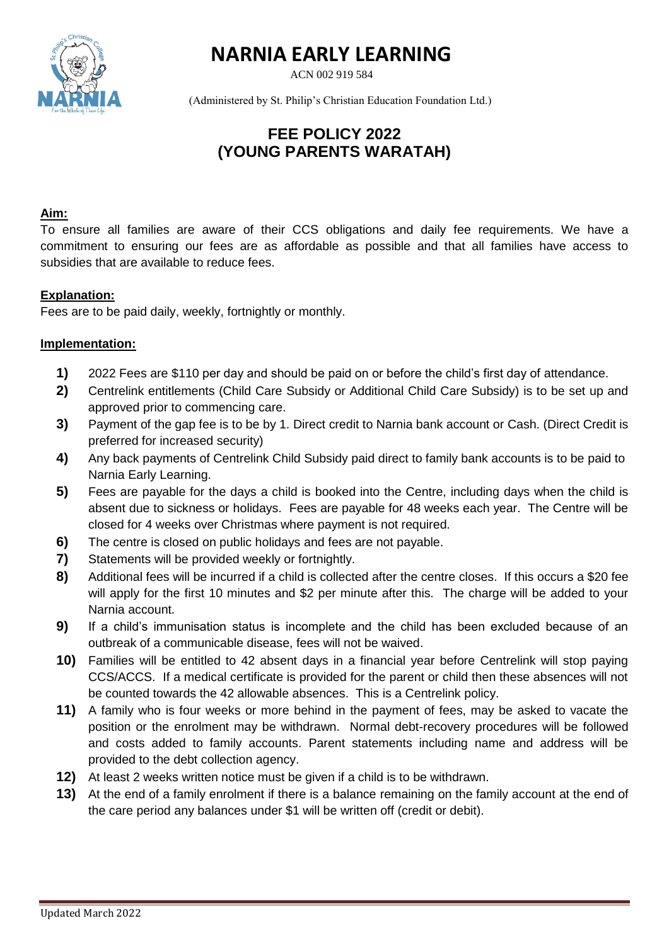

# **NARNIA EARLY LEARNING**

ACN 002 919 584

(Administered by St. Philip's Christian Education Foundation Ltd.)

## **FEE POLICY 2022 (YOUNG PARENTS WARATAH)**

#### **Aim:**

To ensure all families are aware of their CCS obligations and daily fee requirements. We have a commitment to ensuring our fees are as affordable as possible and that all families have access to subsidies that are available to reduce fees.

### **Explanation:**

Fees are to be paid daily, weekly, fortnightly or monthly.

#### **Implementation:**

- **1)** 2022 Fees are \$110 per day and should be paid on or before the child's first day of attendance.
- **2)** Centrelink entitlements (Child Care Subsidy or Additional Child Care Subsidy) is to be set up and approved prior to commencing care.
- **3)** Payment of the gap fee is to be by 1. Direct credit to Narnia bank account or Cash. (Direct Credit is preferred for increased security)
- **4)** Any back payments of Centrelink Child Subsidy paid direct to family bank accounts is to be paid to Narnia Early Learning.
- **5)** Fees are payable for the days a child is booked into the Centre, including days when the child is absent due to sickness or holidays. Fees are payable for 48 weeks each year. The Centre will be closed for 4 weeks over Christmas where payment is not required.
- **6)** The centre is closed on public holidays and fees are not payable.
- **7)** Statements will be provided weekly or fortnightly.
- **8)** Additional fees will be incurred if a child is collected after the centre closes. If this occurs a \$20 fee will apply for the first 10 minutes and \$2 per minute after this. The charge will be added to your Narnia account.
- **9)** If a child's immunisation status is incomplete and the child has been excluded because of an outbreak of a communicable disease, fees will not be waived.
- **10)** Families will be entitled to 42 absent days in a financial year before Centrelink will stop paying CCS/ACCS. If a medical certificate is provided for the parent or child then these absences will not be counted towards the 42 allowable absences. This is a Centrelink policy.
- **11)** A family who is four weeks or more behind in the payment of fees, may be asked to vacate the position or the enrolment may be withdrawn. Normal debt-recovery procedures will be followed and costs added to family accounts. Parent statements including name and address will be provided to the debt collection agency.
- **12)** At least 2 weeks written notice must be given if a child is to be withdrawn.
- **13)** At the end of a family enrolment if there is a balance remaining on the family account at the end of the care period any balances under \$1 will be written off (credit or debit).